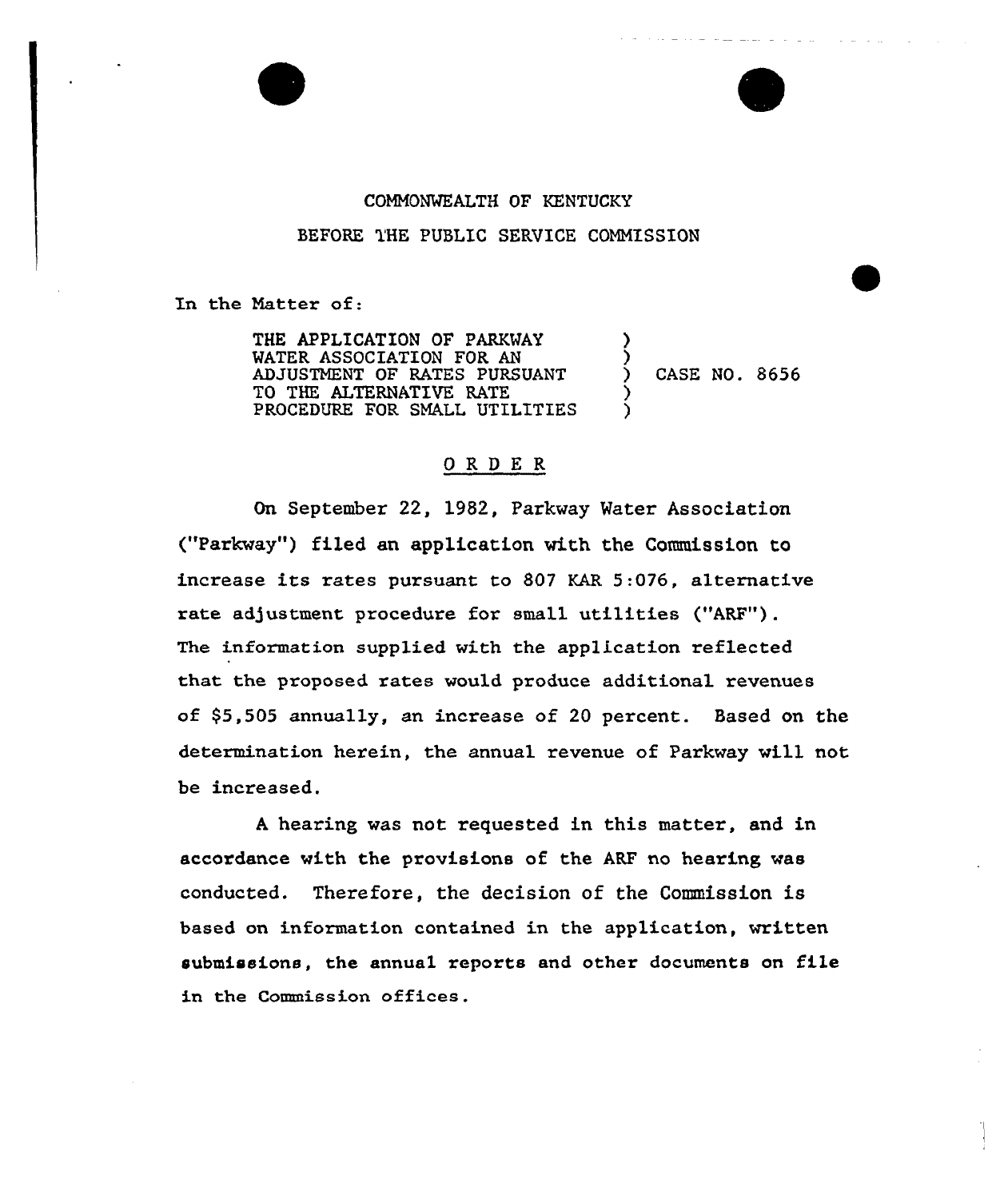# COMMONWEALTH OF KENTUCKY BEFORE THE PUBLIC SERVICE COMMISSION

In the Natter of:

THE APPLICATION OF PARKWAY WATER ASSOCIATION FOR AN ADJUSTMENT OF RATES PURSUANT TO THE ALTERNATIVE RATE PROCEDURE FOR SMALL UTILITIES

) CASE NO. 8656

) )

) )

# ORDER

On September 22, 1982, Parkway Water Association ("Parkway"} filed an application with the Commission to increase its rates pursuant to 807 KAR 5:076, alternative rate adjustment procedure for small utilities ("ARF"). The information supplied with the application reflected that the pxoposed. rates would produce additional revenues of \$5,505 annually, an increase of 20 percent. Based on the determination herein, the annual revenue of Parkway will not be increased.

<sup>A</sup> hearing was not requested in this matter, and in accordance with the provisions of the ARF no hearing was conducted. Therefore, the decision of the Commission is based on information contained in the application, written submissions, the annual reports and other documents on file in the Commission offices.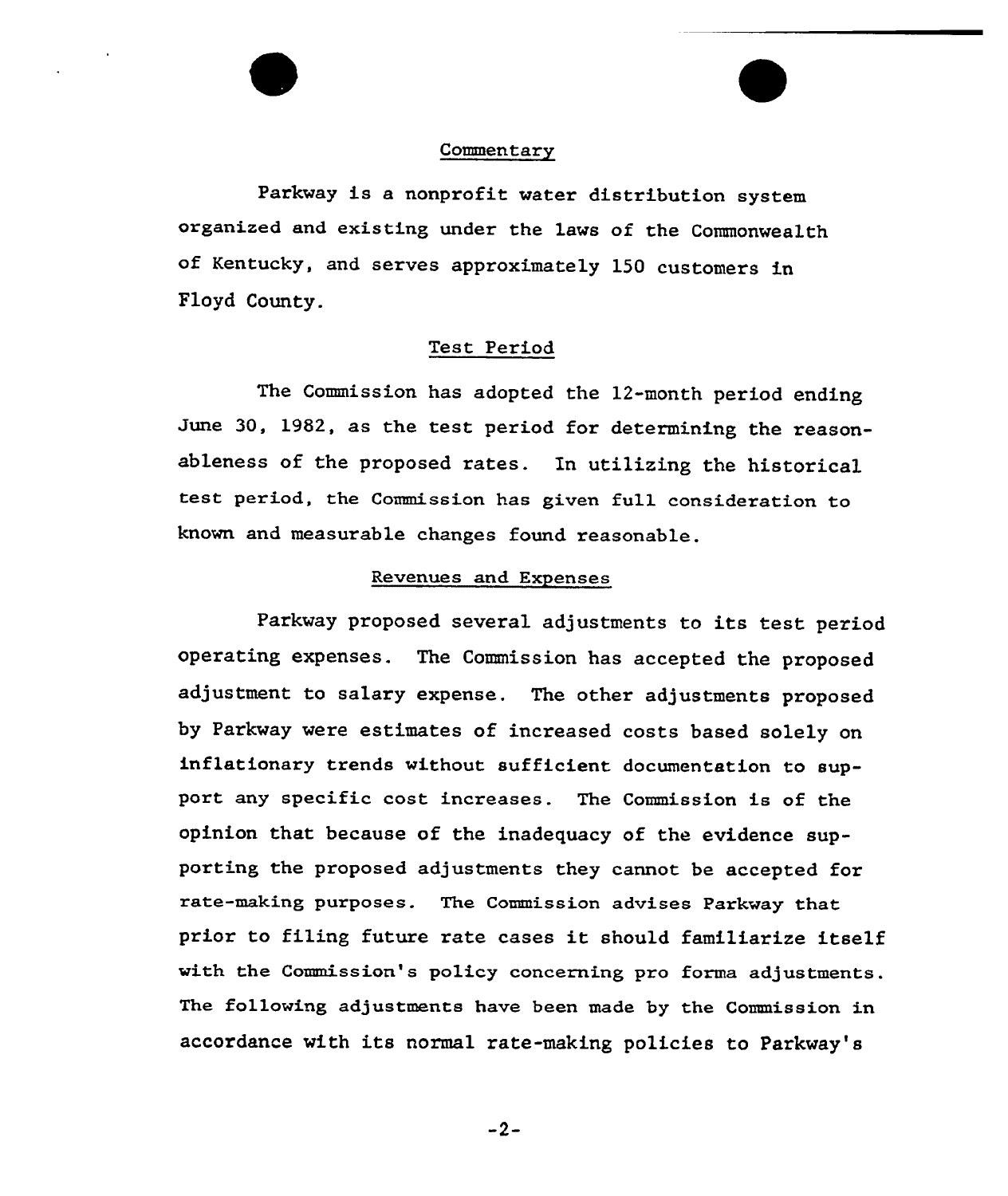# **Commentary**

Parkway is <sup>a</sup> nonprofit water distribution system organized and existing under the laws of the Commonwealth of Kentucky, and serves approximately 150 customers in Floyd County.

## Test Period

The Commission has adopted the 12-month period ending June 30, 1982, as the test period for determining the reasonableness of the proposed rates. In utilizing the historical test period, the Commission has given full consideration to known and measurable changes found reasonable.

# Revenues and Expenses

Parkway proposed several adjustments to its test period operating expenses. The Commission has accepted the proposed adjustment to salary expense. The other adjustments proposed by Parkway were estimates of increased costs based solely on inflationary trends without sufficient documentation to support any specific cost increases. The Commission is of the opinion that because of the inadequacy of the evidence supporting the proposed adjustments they cannot be accepted for rate-making purposes. The Commission advises Parkway that prior to filing future rate cases it should familiarize itself with the Commission's policy concerning pro forma adjustments. The following adjustments have been made by the Commission in accordance with its normal rate-making policies to Parkway's

 $-2-$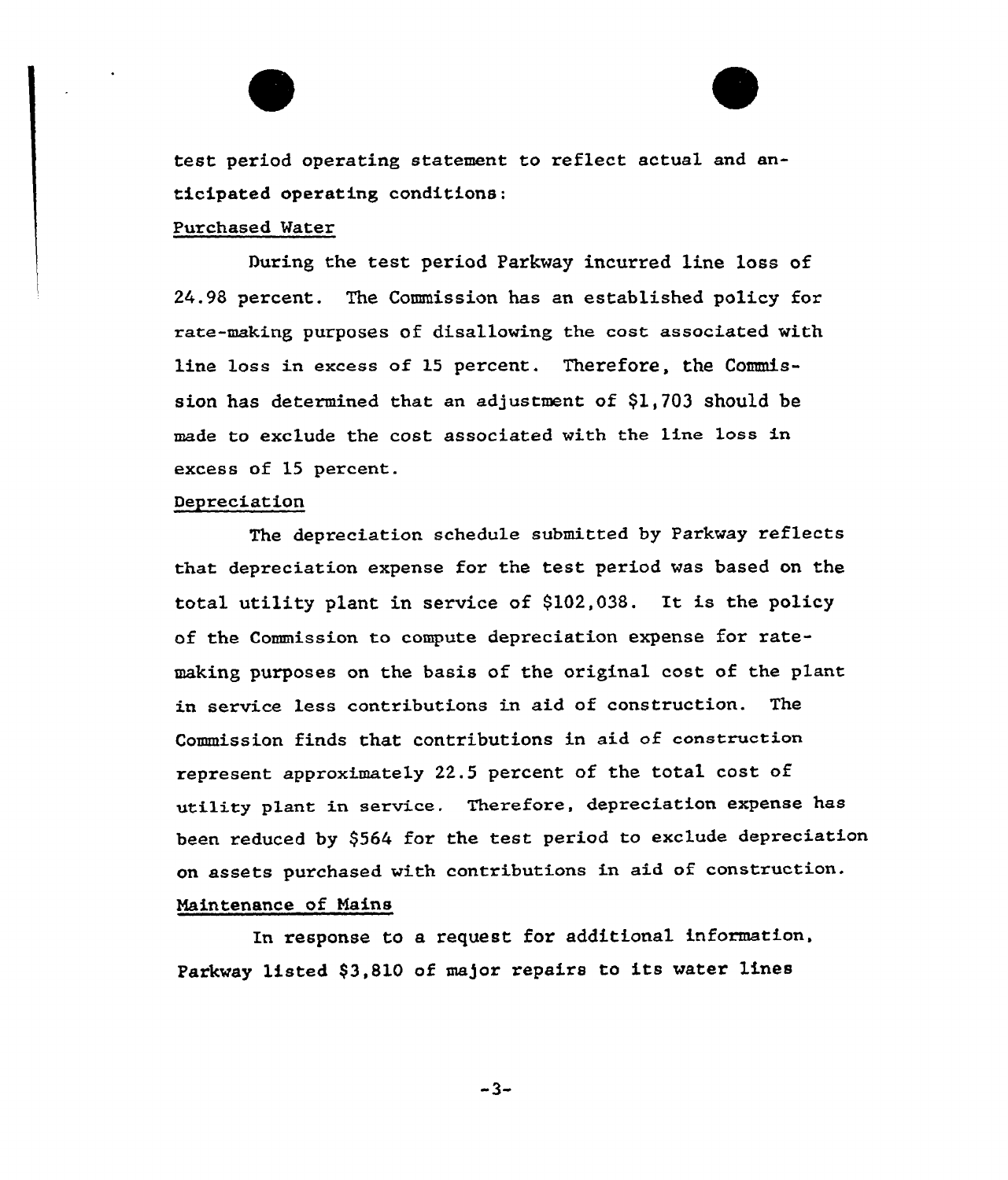

#### Purchased Mater

During the test period Parkway incurred line loss of 24.98 percent. The Commission has an established policy for rate-making purposes of disallowing the cost associated with line loss in excess of 15 percent. Therefore, the Commission has determined that an adjustment of \$1,703 should be made to exclude the cost associated with the line loss in excess of 15 percent.

#### Depreciation

The depreciation schedule submitted by Parkway reflects that depreciation expense for the test period was based on the total utility plant in service of \$102,038. It is the policy of the Commission to compute depreciation expense for ratemaking purposes on the basis of the origina1 cost of the plant in service less contributions in aid of construction. The Commission finds that contributions in aid of construction represent approximately 22.5 percent of the tota1 cost of utility plant in service. Therefore, depreciation expense has been reduced by \$564 for the test period to exclude depreciation on assets purchased with contributions in aid of construction. Maintenance of Mains

In response to a request for additional information, Parkway listed \$3,810 of major repairs to its water lines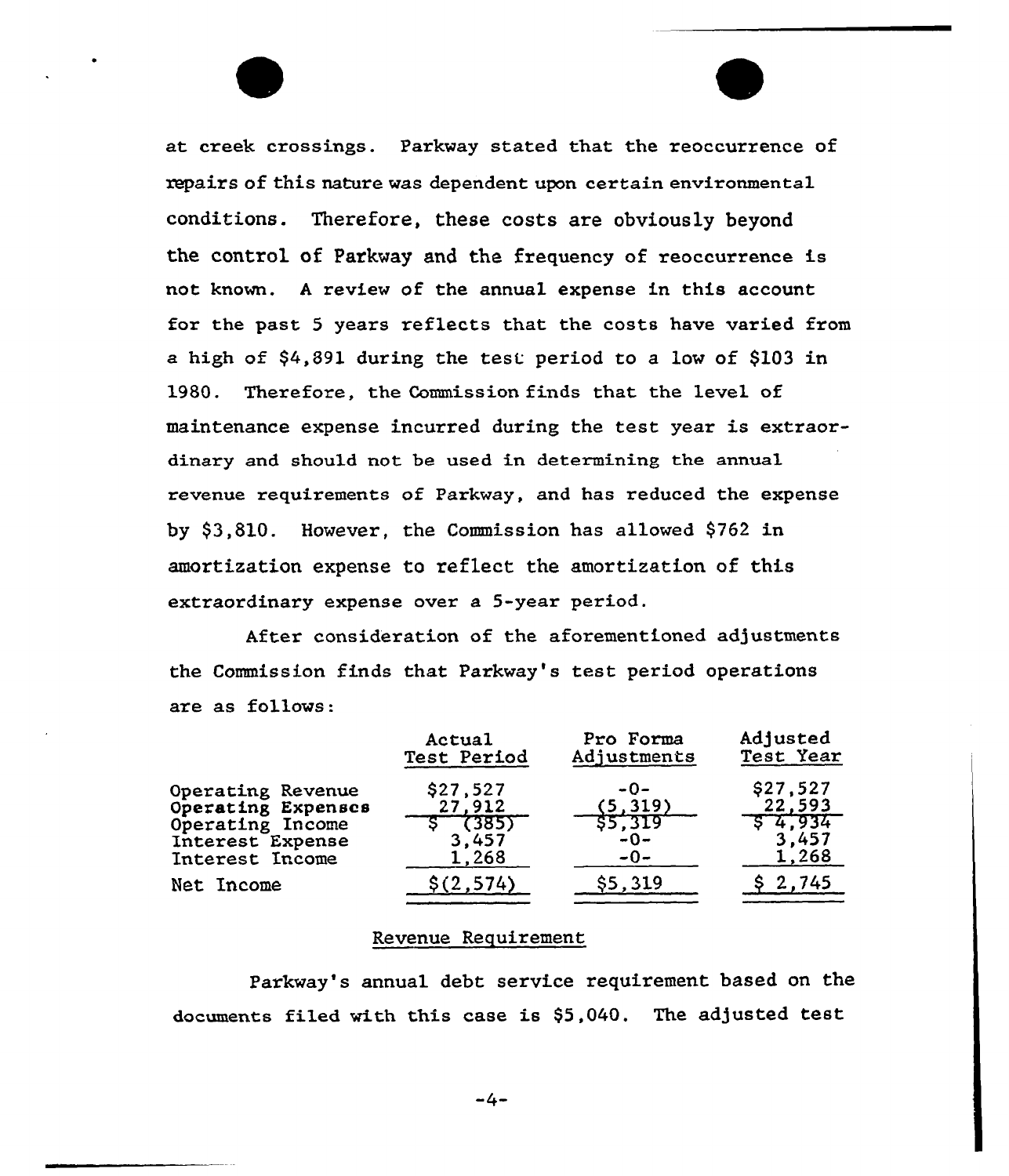at creek crossings. Parkway stated that the reoccurrence of xepairs of this nature was dependent upon certain environmental conditions. Therefore, these costs are obviously beyond the control of Parkway and the frequency of reoccurrence is not known. <sup>A</sup> review of the annual expense in this account for the past <sup>5</sup> years reflects that the costs have varied from a high of \$4,891 during the test period to a low of \$103 in 1980. Therefore, the Commission finds that the level of maintenance expense incurred during the test yeax is extraordinary and should not be used in determining the annual revenue requirements of Parkway, and has reduced the expense by \$3,810. However, the Commission has allowed \$762 in amortization expense to reflect the amortization of this extraordinary expense over a 5-year period.

After consideration of the aforementioned adjustments the Commission finds that Paxkway's test period operations are as follows:

|                    | Actual      | Pro Forma   | Adjusted  |
|--------------------|-------------|-------------|-----------|
|                    | Test Period | Adjustments | Test Year |
| Operating Revenue  | \$27,527    | $-0-$       | \$27,527  |
| Operating Expenses | 27.912      | (5, 319)    | 22,593    |
| Operating Income   | 5(385)      | 55,319      | 5 4.934   |
| Interest Expense   | 3,457       | $-0-$       | 3,457     |
| Interest Income    | 1,268       | $-0-$       | 1,268     |
| Net Income         | \$(2,574)   | \$5,319     | 2,745     |
|                    |             |             |           |

### Revenue Requirement

Parkway's annual debt service requirement based on the documents filed with this case is \$5,040. The adjusted test

 $-4-$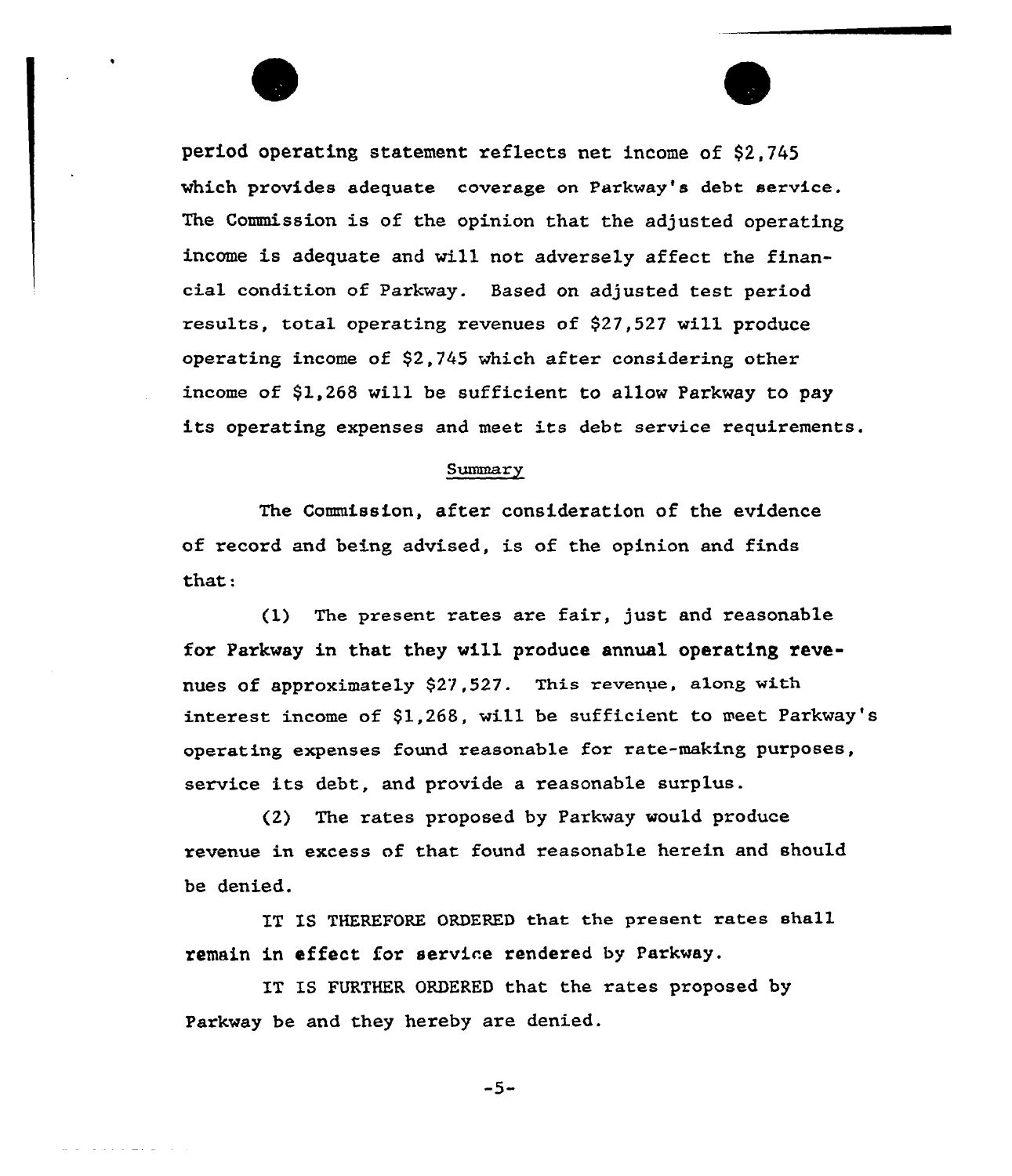period operating statement reflects net income of \$2,745 which provides adequate coverage on Parkway's debt service. The Commission is of the opinion that the adjusted operating income is adequate and will not adversely affect the financial condition of Parkway. Based on adjusted test period results, total operating revenues of \$27,527 will produce operating income of \$2,745 which after considering other income of \$1,268 will be sufficient to allow Parkway to pay its operating expenses and meet its debt service requirements.

#### Summary

The Commission, after consideration of the evidence of record and being advised, is of the opinion and finds that:

(1) The present rates are fair, just and reasonable for Parkway in that they will produce annual operating revenues of approximately \$27.527. This revenue, along with interest income of  $$1,268$ , will be sufficient to meet Parkway's operating expenses found reasonable for rate-making purposes, service its debt, and provide a reasonable surplus.

(2) The rates proposed by Parkway would produce revenue in excess of that found reasonable herein and should be denied.

IT IS THEREFORE ORDERED that the present rates shall remain in effect for service rendered by Parkway.

IT IS FURTHER ORDERED that the rates proposed by Parkway be and they hereby are denied.

 $-5-$